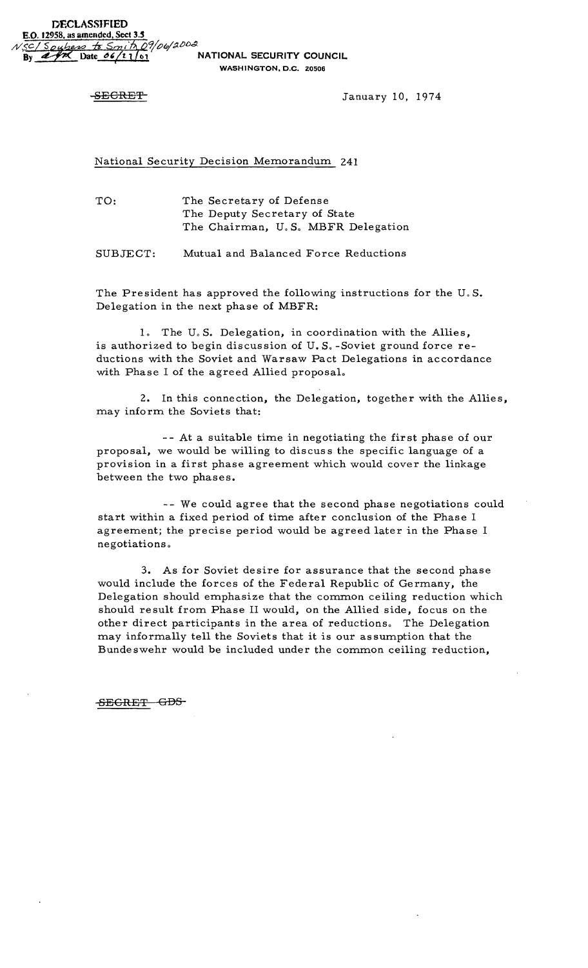WASHINGTON, D.C. Z0506

SECRET<sub>-</sub>
SECRET<sub>-</sub>  $January 10, 1974$ 

National Security Decision Memorandum 241

TO: The Secretary of Defense The Deputy Secretary of State The Chairman, U.S. MBFR Delegation

SUBJECT: Mutual and Balanced Force Reductions

The President has approved the following instructions for the  $U.S.$ Delegation in the next phase of MBFR:

1. The U.S. Delegation, in coordination with the Allies, is authorized to begin discussion of  $U.S.$  -Soviet ground force reductions with the Soviet and Warsaw Pact Delegations in accordance with Phase I of the agreed Allied proposaL

2. In this connection, the Delegation, together with the Allies, may inform the Soviets that:

-- At a suitable time in negotiating the first phase of our proposal, we would be willing to discus s the specific language of a provision in a first phase agreement which would cover the linkage between the two phases.

-- We could agree that the second phase negotiations could start within a fixed period of time after conclusion of the Phase I agreement; the precise period would be agreed later in the Phase I negotiations 0

3. As for Soviet desire for assurance that the second phase would include the forces of the Federal Republic of Germany, the Delegation should emphasize that the common ceiling reduction which should result from Phase II would, on the Allied side, focus on the other direct participants in the area of reductions. The Delegation may informally tell the Soviets that it is our as sumption that the Bundeswehr would be included under the common ceiling reduction,

SECRET GDS